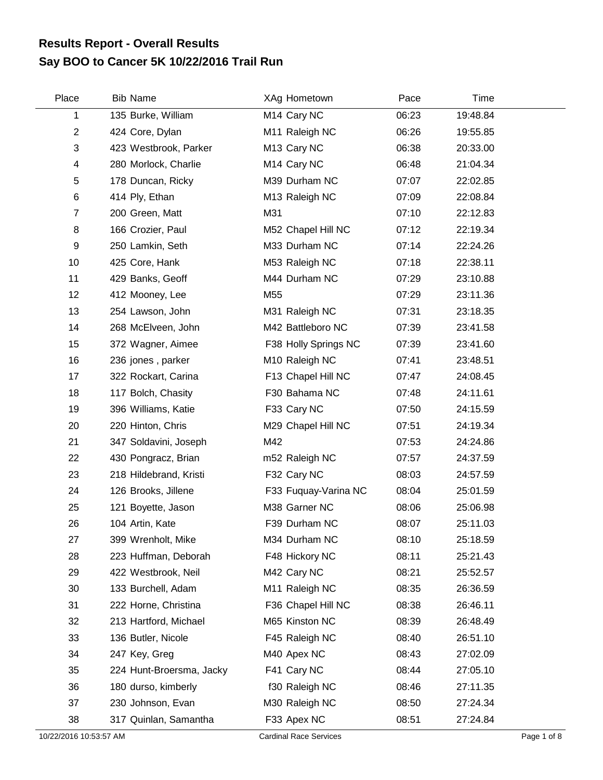## **Say BOO to Cancer 5K 10/22/2016 Trail Run Results Report - Overall Results**

| Place                   | <b>Bib Name</b>          | XAg Hometown            | Pace  | Time     |  |
|-------------------------|--------------------------|-------------------------|-------|----------|--|
| 1                       | 135 Burke, William       | M <sub>14</sub> Cary NC | 06:23 | 19:48.84 |  |
| $\overline{2}$          | 424 Core, Dylan          | M11 Raleigh NC          | 06:26 | 19:55.85 |  |
| 3                       | 423 Westbrook, Parker    | M <sub>13</sub> Cary NC | 06:38 | 20:33.00 |  |
| $\overline{\mathbf{4}}$ | 280 Morlock, Charlie     | M <sub>14</sub> Cary NC | 06:48 | 21:04.34 |  |
| 5                       | 178 Duncan, Ricky        | M39 Durham NC           | 07:07 | 22:02.85 |  |
| 6                       | 414 Ply, Ethan           | M13 Raleigh NC          | 07:09 | 22:08.84 |  |
| $\overline{7}$          | 200 Green, Matt          | M31                     | 07:10 | 22:12.83 |  |
| 8                       | 166 Crozier, Paul        | M52 Chapel Hill NC      | 07:12 | 22:19.34 |  |
| 9                       | 250 Lamkin, Seth         | M33 Durham NC           | 07:14 | 22:24.26 |  |
| 10                      | 425 Core, Hank           | M53 Raleigh NC          | 07:18 | 22:38.11 |  |
| 11                      | 429 Banks, Geoff         | M44 Durham NC           | 07:29 | 23:10.88 |  |
| 12                      | 412 Mooney, Lee          | M55                     | 07:29 | 23:11.36 |  |
| 13                      | 254 Lawson, John         | M31 Raleigh NC          | 07:31 | 23:18.35 |  |
| 14                      | 268 McElveen, John       | M42 Battleboro NC       | 07:39 | 23:41.58 |  |
| 15                      | 372 Wagner, Aimee        | F38 Holly Springs NC    | 07:39 | 23:41.60 |  |
| 16                      | 236 jones, parker        | M10 Raleigh NC          | 07:41 | 23:48.51 |  |
| 17                      | 322 Rockart, Carina      | F13 Chapel Hill NC      | 07:47 | 24:08.45 |  |
| 18                      | 117 Bolch, Chasity       | F30 Bahama NC           | 07:48 | 24:11.61 |  |
| 19                      | 396 Williams, Katie      | F33 Cary NC             | 07:50 | 24:15.59 |  |
| 20                      | 220 Hinton, Chris        | M29 Chapel Hill NC      | 07:51 | 24:19.34 |  |
| 21                      | 347 Soldavini, Joseph    | M42                     | 07:53 | 24:24.86 |  |
| 22                      | 430 Pongracz, Brian      | m52 Raleigh NC          | 07:57 | 24:37.59 |  |
| 23                      | 218 Hildebrand, Kristi   | F32 Cary NC             | 08:03 | 24:57.59 |  |
| 24                      | 126 Brooks, Jillene      | F33 Fuquay-Varina NC    | 08:04 | 25:01.59 |  |
| 25                      | 121 Boyette, Jason       | M38 Garner NC           | 08:06 | 25:06.98 |  |
| 26                      | 104 Artin, Kate          | F39 Durham NC           | 08:07 | 25:11.03 |  |
| 27                      | 399 Wrenholt, Mike       | M34 Durham NC           | 08:10 | 25:18.59 |  |
| 28                      | 223 Huffman, Deborah     | F48 Hickory NC          | 08:11 | 25:21.43 |  |
| 29                      | 422 Westbrook, Neil      | M42 Cary NC             | 08:21 | 25:52.57 |  |
| 30                      | 133 Burchell, Adam       | M11 Raleigh NC          | 08:35 | 26:36.59 |  |
| 31                      | 222 Horne, Christina     | F36 Chapel Hill NC      | 08:38 | 26:46.11 |  |
| 32                      | 213 Hartford, Michael    | M65 Kinston NC          | 08:39 | 26:48.49 |  |
| 33                      | 136 Butler, Nicole       | F45 Raleigh NC          | 08:40 | 26:51.10 |  |
| 34                      | 247 Key, Greg            | M40 Apex NC             | 08:43 | 27:02.09 |  |
| 35                      | 224 Hunt-Broersma, Jacky | F41 Cary NC             | 08:44 | 27:05.10 |  |
| 36                      | 180 durso, kimberly      | f30 Raleigh NC          | 08:46 | 27:11.35 |  |
| 37                      | 230 Johnson, Evan        | M30 Raleigh NC          | 08:50 | 27:24.34 |  |
| 38                      | 317 Quinlan, Samantha    | F33 Apex NC             | 08:51 | 27:24.84 |  |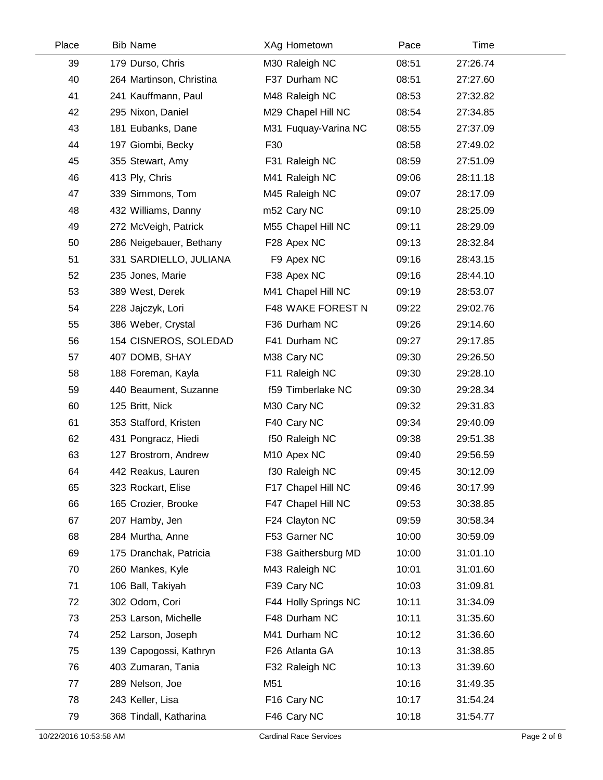| Place | <b>Bib Name</b>          | XAg Hometown            | Pace  | Time     |  |
|-------|--------------------------|-------------------------|-------|----------|--|
| 39    | 179 Durso, Chris         | M30 Raleigh NC          | 08:51 | 27:26.74 |  |
| 40    | 264 Martinson, Christina | F37 Durham NC           | 08:51 | 27:27.60 |  |
| 41    | 241 Kauffmann, Paul      | M48 Raleigh NC          | 08:53 | 27:32.82 |  |
| 42    | 295 Nixon, Daniel        | M29 Chapel Hill NC      | 08:54 | 27:34.85 |  |
| 43    | 181 Eubanks, Dane        | M31 Fuquay-Varina NC    | 08:55 | 27:37.09 |  |
| 44    | 197 Giombi, Becky        | F30                     | 08:58 | 27:49.02 |  |
| 45    | 355 Stewart, Amy         | F31 Raleigh NC          | 08:59 | 27:51.09 |  |
| 46    | 413 Ply, Chris           | M41 Raleigh NC          | 09:06 | 28:11.18 |  |
| 47    | 339 Simmons, Tom         | M45 Raleigh NC          | 09:07 | 28:17.09 |  |
| 48    | 432 Williams, Danny      | m52 Cary NC             | 09:10 | 28:25.09 |  |
| 49    | 272 McVeigh, Patrick     | M55 Chapel Hill NC      | 09:11 | 28:29.09 |  |
| 50    | 286 Neigebauer, Bethany  | F28 Apex NC             | 09:13 | 28:32.84 |  |
| 51    | 331 SARDIELLO, JULIANA   | F9 Apex NC              | 09:16 | 28:43.15 |  |
| 52    | 235 Jones, Marie         | F38 Apex NC             | 09:16 | 28:44.10 |  |
| 53    | 389 West, Derek          | M41 Chapel Hill NC      | 09:19 | 28:53.07 |  |
| 54    | 228 Jajczyk, Lori        | F48 WAKE FOREST N       | 09:22 | 29:02.76 |  |
| 55    | 386 Weber, Crystal       | F36 Durham NC           | 09:26 | 29:14.60 |  |
| 56    | 154 CISNEROS, SOLEDAD    | F41 Durham NC           | 09:27 | 29:17.85 |  |
| 57    | 407 DOMB, SHAY           | M38 Cary NC             | 09:30 | 29:26.50 |  |
| 58    | 188 Foreman, Kayla       | F11 Raleigh NC          | 09:30 | 29:28.10 |  |
| 59    | 440 Beaument, Suzanne    | f59 Timberlake NC       | 09:30 | 29:28.34 |  |
| 60    | 125 Britt, Nick          | M30 Cary NC             | 09:32 | 29:31.83 |  |
| 61    | 353 Stafford, Kristen    | F40 Cary NC             | 09:34 | 29:40.09 |  |
| 62    | 431 Pongracz, Hiedi      | f50 Raleigh NC          | 09:38 | 29:51.38 |  |
| 63    | 127 Brostrom, Andrew     | M <sub>10</sub> Apex NC | 09:40 | 29:56.59 |  |
| 64    | 442 Reakus, Lauren       | f30 Raleigh NC          | 09:45 | 30:12.09 |  |
| 65    | 323 Rockart, Elise       | F17 Chapel Hill NC      | 09:46 | 30:17.99 |  |
| 66    | 165 Crozier, Brooke      | F47 Chapel Hill NC      | 09:53 | 30:38.85 |  |
| 67    | 207 Hamby, Jen           | F24 Clayton NC          | 09:59 | 30:58.34 |  |
| 68    | 284 Murtha, Anne         | F53 Garner NC           | 10:00 | 30:59.09 |  |
| 69    | 175 Dranchak, Patricia   | F38 Gaithersburg MD     | 10:00 | 31:01.10 |  |
| 70    | 260 Mankes, Kyle         | M43 Raleigh NC          | 10:01 | 31:01.60 |  |
| 71    | 106 Ball, Takiyah        | F39 Cary NC             | 10:03 | 31:09.81 |  |
| 72    | 302 Odom, Cori           | F44 Holly Springs NC    | 10:11 | 31:34.09 |  |
| 73    | 253 Larson, Michelle     | F48 Durham NC           | 10:11 | 31:35.60 |  |
| 74    | 252 Larson, Joseph       | M41 Durham NC           | 10:12 | 31:36.60 |  |
| 75    | 139 Capogossi, Kathryn   | F26 Atlanta GA          | 10:13 | 31:38.85 |  |
| 76    | 403 Zumaran, Tania       | F32 Raleigh NC          | 10:13 | 31:39.60 |  |
| 77    | 289 Nelson, Joe          | M51                     | 10:16 | 31:49.35 |  |
| 78    | 243 Keller, Lisa         | F16 Cary NC             | 10:17 | 31:54.24 |  |
| 79    | 368 Tindall, Katharina   | F46 Cary NC             | 10:18 | 31:54.77 |  |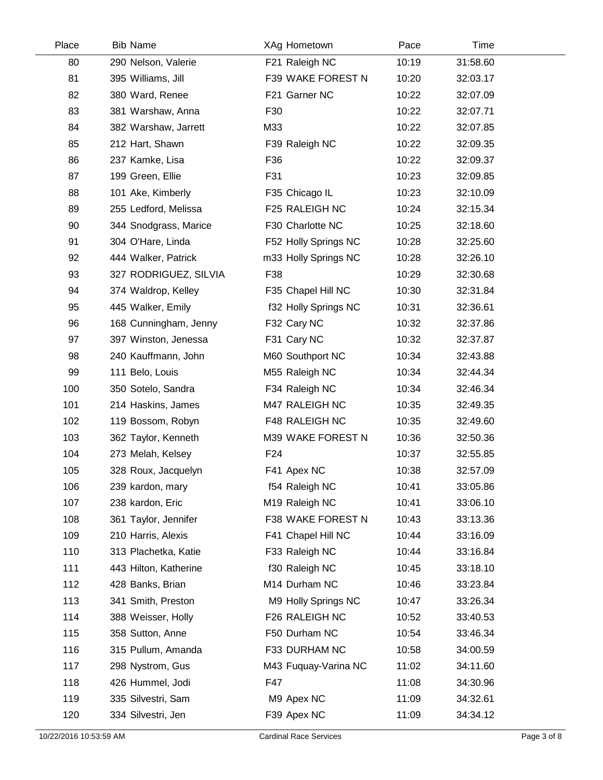| Place | <b>Bib Name</b>       | XAg Hometown         | Pace  | Time     |  |
|-------|-----------------------|----------------------|-------|----------|--|
| 80    | 290 Nelson, Valerie   | F21 Raleigh NC       | 10:19 | 31:58.60 |  |
| 81    | 395 Williams, Jill    | F39 WAKE FOREST N    | 10:20 | 32:03.17 |  |
| 82    | 380 Ward, Renee       | F21 Garner NC        | 10:22 | 32:07.09 |  |
| 83    | 381 Warshaw, Anna     | F30                  | 10:22 | 32:07.71 |  |
| 84    | 382 Warshaw, Jarrett  | M33                  | 10:22 | 32:07.85 |  |
| 85    | 212 Hart, Shawn       | F39 Raleigh NC       | 10:22 | 32:09.35 |  |
| 86    | 237 Kamke, Lisa       | F36                  | 10:22 | 32:09.37 |  |
| 87    | 199 Green, Ellie      | F31                  | 10:23 | 32:09.85 |  |
| 88    | 101 Ake, Kimberly     | F35 Chicago IL       | 10:23 | 32:10.09 |  |
| 89    | 255 Ledford, Melissa  | F25 RALEIGH NC       | 10:24 | 32:15.34 |  |
| 90    | 344 Snodgrass, Marice | F30 Charlotte NC     | 10:25 | 32:18.60 |  |
| 91    | 304 O'Hare, Linda     | F52 Holly Springs NC | 10:28 | 32:25.60 |  |
| 92    | 444 Walker, Patrick   | m33 Holly Springs NC | 10:28 | 32:26.10 |  |
| 93    | 327 RODRIGUEZ, SILVIA | F38                  | 10:29 | 32:30.68 |  |
| 94    | 374 Waldrop, Kelley   | F35 Chapel Hill NC   | 10:30 | 32:31.84 |  |
| 95    | 445 Walker, Emily     | f32 Holly Springs NC | 10:31 | 32:36.61 |  |
| 96    | 168 Cunningham, Jenny | F32 Cary NC          | 10:32 | 32:37.86 |  |
| 97    | 397 Winston, Jenessa  | F31 Cary NC          | 10:32 | 32:37.87 |  |
| 98    | 240 Kauffmann, John   | M60 Southport NC     | 10:34 | 32:43.88 |  |
| 99    | 111 Belo, Louis       | M55 Raleigh NC       | 10:34 | 32:44.34 |  |
| 100   | 350 Sotelo, Sandra    | F34 Raleigh NC       | 10:34 | 32:46.34 |  |
| 101   | 214 Haskins, James    | M47 RALEIGH NC       | 10:35 | 32:49.35 |  |
| 102   | 119 Bossom, Robyn     | F48 RALEIGH NC       | 10:35 | 32:49.60 |  |
| 103   | 362 Taylor, Kenneth   | M39 WAKE FOREST N    | 10:36 | 32:50.36 |  |
| 104   | 273 Melah, Kelsey     | F <sub>24</sub>      | 10:37 | 32:55.85 |  |
| 105   | 328 Roux, Jacquelyn   | F41 Apex NC          | 10:38 | 32:57.09 |  |
| 106   | 239 kardon, mary      | f54 Raleigh NC       | 10:41 | 33:05.86 |  |
| 107   | 238 kardon, Eric      | M19 Raleigh NC       | 10:41 | 33:06.10 |  |
| 108   | 361 Taylor, Jennifer  | F38 WAKE FOREST N    | 10:43 | 33:13.36 |  |
| 109   | 210 Harris, Alexis    | F41 Chapel Hill NC   | 10:44 | 33:16.09 |  |
| 110   | 313 Plachetka, Katie  | F33 Raleigh NC       | 10:44 | 33:16.84 |  |
| 111   | 443 Hilton, Katherine | f30 Raleigh NC       | 10:45 | 33:18.10 |  |
| 112   | 428 Banks, Brian      | M14 Durham NC        | 10:46 | 33:23.84 |  |
| 113   | 341 Smith, Preston    | M9 Holly Springs NC  | 10:47 | 33:26.34 |  |
| 114   | 388 Weisser, Holly    | F26 RALEIGH NC       | 10:52 | 33:40.53 |  |
| 115   | 358 Sutton, Anne      | F50 Durham NC        | 10:54 | 33:46.34 |  |
| 116   | 315 Pullum, Amanda    | F33 DURHAM NC        | 10:58 | 34:00.59 |  |
| 117   | 298 Nystrom, Gus      | M43 Fuquay-Varina NC | 11:02 | 34:11.60 |  |
| 118   | 426 Hummel, Jodi      | F47                  | 11:08 | 34:30.96 |  |
| 119   | 335 Silvestri, Sam    | M9 Apex NC           | 11:09 | 34:32.61 |  |
| 120   | 334 Silvestri, Jen    | F39 Apex NC          | 11:09 | 34:34.12 |  |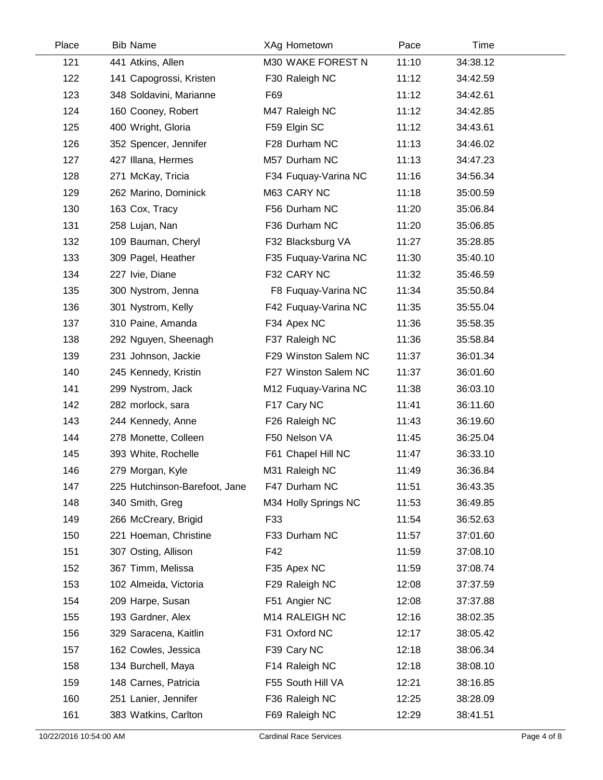| Place | <b>Bib Name</b>               | XAg Hometown         | Pace  | Time     |  |
|-------|-------------------------------|----------------------|-------|----------|--|
| 121   | 441 Atkins, Allen             | M30 WAKE FOREST N    | 11:10 | 34:38.12 |  |
| 122   | 141 Capogrossi, Kristen       | F30 Raleigh NC       | 11:12 | 34:42.59 |  |
| 123   | 348 Soldavini, Marianne       | F69                  | 11:12 | 34:42.61 |  |
| 124   | 160 Cooney, Robert            | M47 Raleigh NC       | 11:12 | 34:42.85 |  |
| 125   | 400 Wright, Gloria            | F59 Elgin SC         | 11:12 | 34:43.61 |  |
| 126   | 352 Spencer, Jennifer         | F28 Durham NC        | 11:13 | 34:46.02 |  |
| 127   | 427 Illana, Hermes            | M57 Durham NC        | 11:13 | 34:47.23 |  |
| 128   | 271 McKay, Tricia             | F34 Fuquay-Varina NC | 11:16 | 34:56.34 |  |
| 129   | 262 Marino, Dominick          | M63 CARY NC          | 11:18 | 35:00.59 |  |
| 130   | 163 Cox, Tracy                | F56 Durham NC        | 11:20 | 35:06.84 |  |
| 131   | 258 Lujan, Nan                | F36 Durham NC        | 11:20 | 35:06.85 |  |
| 132   | 109 Bauman, Cheryl            | F32 Blacksburg VA    | 11:27 | 35:28.85 |  |
| 133   | 309 Pagel, Heather            | F35 Fuquay-Varina NC | 11:30 | 35:40.10 |  |
| 134   | 227 Ivie, Diane               | F32 CARY NC          | 11:32 | 35:46.59 |  |
| 135   | 300 Nystrom, Jenna            | F8 Fuquay-Varina NC  | 11:34 | 35:50.84 |  |
| 136   | 301 Nystrom, Kelly            | F42 Fuquay-Varina NC | 11:35 | 35:55.04 |  |
| 137   | 310 Paine, Amanda             | F34 Apex NC          | 11:36 | 35:58.35 |  |
| 138   | 292 Nguyen, Sheenagh          | F37 Raleigh NC       | 11:36 | 35:58.84 |  |
| 139   | 231 Johnson, Jackie           | F29 Winston Salem NC | 11:37 | 36:01.34 |  |
| 140   | 245 Kennedy, Kristin          | F27 Winston Salem NC | 11:37 | 36:01.60 |  |
| 141   | 299 Nystrom, Jack             | M12 Fuquay-Varina NC | 11:38 | 36:03.10 |  |
| 142   | 282 morlock, sara             | F17 Cary NC          | 11:41 | 36:11.60 |  |
| 143   | 244 Kennedy, Anne             | F26 Raleigh NC       | 11:43 | 36:19.60 |  |
| 144   | 278 Monette, Colleen          | F50 Nelson VA        | 11:45 | 36:25.04 |  |
| 145   | 393 White, Rochelle           | F61 Chapel Hill NC   | 11:47 | 36:33.10 |  |
| 146   | 279 Morgan, Kyle              | M31 Raleigh NC       | 11:49 | 36:36.84 |  |
| 147   | 225 Hutchinson-Barefoot, Jane | F47 Durham NC        | 11:51 | 36:43.35 |  |
| 148   | 340 Smith, Greg               | M34 Holly Springs NC | 11:53 | 36:49.85 |  |
| 149   | 266 McCreary, Brigid          | F33                  | 11:54 | 36:52.63 |  |
| 150   | 221 Hoeman, Christine         | F33 Durham NC        | 11:57 | 37:01.60 |  |
| 151   | 307 Osting, Allison           | F42                  | 11:59 | 37:08.10 |  |
| 152   | 367 Timm, Melissa             | F35 Apex NC          | 11:59 | 37:08.74 |  |
| 153   | 102 Almeida, Victoria         | F29 Raleigh NC       | 12:08 | 37:37.59 |  |
| 154   | 209 Harpe, Susan              | F51 Angier NC        | 12:08 | 37:37.88 |  |
| 155   | 193 Gardner, Alex             | M14 RALEIGH NC       | 12:16 | 38:02.35 |  |
| 156   | 329 Saracena, Kaitlin         | F31 Oxford NC        | 12:17 | 38:05.42 |  |
| 157   | 162 Cowles, Jessica           | F39 Cary NC          | 12:18 | 38:06.34 |  |
| 158   | 134 Burchell, Maya            | F14 Raleigh NC       | 12:18 | 38:08.10 |  |
| 159   | 148 Carnes, Patricia          | F55 South Hill VA    | 12:21 | 38:16.85 |  |
| 160   | 251 Lanier, Jennifer          | F36 Raleigh NC       | 12:25 | 38:28.09 |  |
| 161   | 383 Watkins, Carlton          | F69 Raleigh NC       | 12:29 | 38:41.51 |  |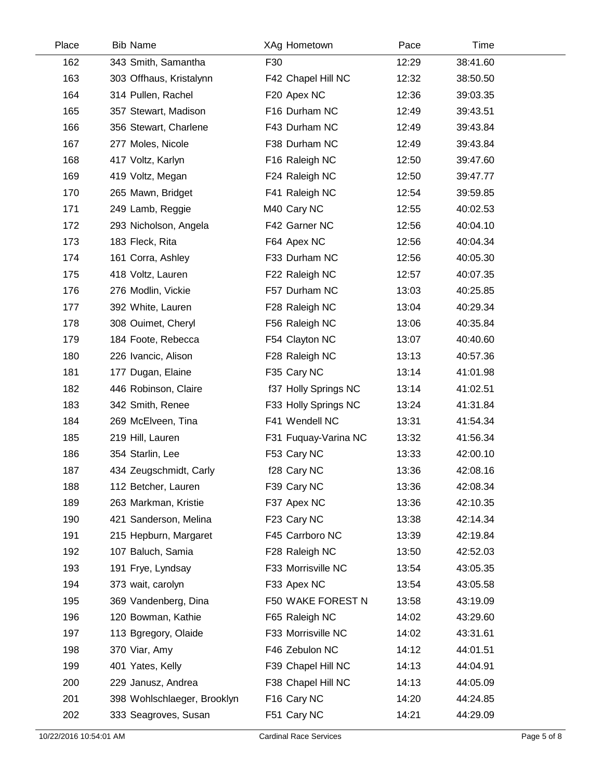| Place | <b>Bib Name</b>             | XAg Hometown         | Pace  | Time     |  |
|-------|-----------------------------|----------------------|-------|----------|--|
| 162   | 343 Smith, Samantha         | F30                  | 12:29 | 38:41.60 |  |
| 163   | 303 Offhaus, Kristalynn     | F42 Chapel Hill NC   | 12:32 | 38:50.50 |  |
| 164   | 314 Pullen, Rachel          | F20 Apex NC          | 12:36 | 39:03.35 |  |
| 165   | 357 Stewart, Madison        | F16 Durham NC        | 12:49 | 39:43.51 |  |
| 166   | 356 Stewart, Charlene       | F43 Durham NC        | 12:49 | 39:43.84 |  |
| 167   | 277 Moles, Nicole           | F38 Durham NC        | 12:49 | 39:43.84 |  |
| 168   | 417 Voltz, Karlyn           | F16 Raleigh NC       | 12:50 | 39:47.60 |  |
| 169   | 419 Voltz, Megan            | F24 Raleigh NC       | 12:50 | 39:47.77 |  |
| 170   | 265 Mawn, Bridget           | F41 Raleigh NC       | 12:54 | 39:59.85 |  |
| 171   | 249 Lamb, Reggie            | M40 Cary NC          | 12:55 | 40:02.53 |  |
| 172   | 293 Nicholson, Angela       | F42 Garner NC        | 12:56 | 40:04.10 |  |
| 173   | 183 Fleck, Rita             | F64 Apex NC          | 12:56 | 40:04.34 |  |
| 174   | 161 Corra, Ashley           | F33 Durham NC        | 12:56 | 40:05.30 |  |
| 175   | 418 Voltz, Lauren           | F22 Raleigh NC       | 12:57 | 40:07.35 |  |
| 176   | 276 Modlin, Vickie          | F57 Durham NC        | 13:03 | 40:25.85 |  |
| 177   | 392 White, Lauren           | F28 Raleigh NC       | 13:04 | 40:29.34 |  |
| 178   | 308 Ouimet, Cheryl          | F56 Raleigh NC       | 13:06 | 40:35.84 |  |
| 179   | 184 Foote, Rebecca          | F54 Clayton NC       | 13:07 | 40:40.60 |  |
| 180   | 226 Ivancic, Alison         | F28 Raleigh NC       | 13:13 | 40:57.36 |  |
| 181   | 177 Dugan, Elaine           | F35 Cary NC          | 13:14 | 41:01.98 |  |
| 182   | 446 Robinson, Claire        | f37 Holly Springs NC | 13:14 | 41:02.51 |  |
| 183   | 342 Smith, Renee            | F33 Holly Springs NC | 13:24 | 41:31.84 |  |
| 184   | 269 McElveen, Tina          | F41 Wendell NC       | 13:31 | 41:54.34 |  |
| 185   | 219 Hill, Lauren            | F31 Fuquay-Varina NC | 13:32 | 41:56.34 |  |
| 186   | 354 Starlin, Lee            | F53 Cary NC          | 13:33 | 42:00.10 |  |
| 187   | 434 Zeugschmidt, Carly      | f28 Cary NC          | 13:36 | 42:08.16 |  |
| 188   | 112 Betcher, Lauren         | F39 Cary NC          | 13:36 | 42:08.34 |  |
| 189   | 263 Markman, Kristie        | F37 Apex NC          | 13:36 | 42:10.35 |  |
| 190   | 421 Sanderson, Melina       | F23 Cary NC          | 13:38 | 42:14.34 |  |
| 191   | 215 Hepburn, Margaret       | F45 Carrboro NC      | 13:39 | 42:19.84 |  |
| 192   | 107 Baluch, Samia           | F28 Raleigh NC       | 13:50 | 42:52.03 |  |
| 193   | 191 Frye, Lyndsay           | F33 Morrisville NC   | 13:54 | 43:05.35 |  |
| 194   | 373 wait, carolyn           | F33 Apex NC          | 13:54 | 43:05.58 |  |
| 195   | 369 Vandenberg, Dina        | F50 WAKE FOREST N    | 13:58 | 43:19.09 |  |
| 196   | 120 Bowman, Kathie          | F65 Raleigh NC       | 14:02 | 43:29.60 |  |
| 197   | 113 Bgregory, Olaide        | F33 Morrisville NC   | 14:02 | 43:31.61 |  |
| 198   | 370 Viar, Amy               | F46 Zebulon NC       | 14:12 | 44:01.51 |  |
| 199   | 401 Yates, Kelly            | F39 Chapel Hill NC   | 14:13 | 44:04.91 |  |
| 200   | 229 Janusz, Andrea          | F38 Chapel Hill NC   | 14:13 | 44:05.09 |  |
| 201   | 398 Wohlschlaeger, Brooklyn | F16 Cary NC          | 14:20 | 44:24.85 |  |
| 202   | 333 Seagroves, Susan        | F51 Cary NC          | 14:21 | 44:29.09 |  |
|       |                             |                      |       |          |  |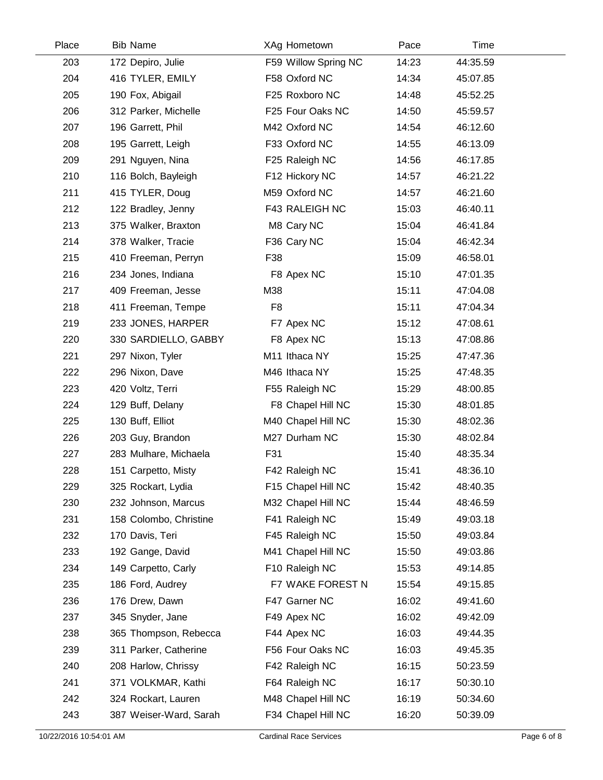| Place | <b>Bib Name</b>        | XAg Hometown         | Pace  | Time     |  |
|-------|------------------------|----------------------|-------|----------|--|
| 203   | 172 Depiro, Julie      | F59 Willow Spring NC | 14:23 | 44:35.59 |  |
| 204   | 416 TYLER, EMILY       | F58 Oxford NC        | 14:34 | 45:07.85 |  |
| 205   | 190 Fox, Abigail       | F25 Roxboro NC       | 14:48 | 45:52.25 |  |
| 206   | 312 Parker, Michelle   | F25 Four Oaks NC     | 14:50 | 45:59.57 |  |
| 207   | 196 Garrett, Phil      | M42 Oxford NC        | 14:54 | 46:12.60 |  |
| 208   | 195 Garrett, Leigh     | F33 Oxford NC        | 14:55 | 46:13.09 |  |
| 209   | 291 Nguyen, Nina       | F25 Raleigh NC       | 14:56 | 46:17.85 |  |
| 210   | 116 Bolch, Bayleigh    | F12 Hickory NC       | 14:57 | 46:21.22 |  |
| 211   | 415 TYLER, Doug        | M59 Oxford NC        | 14:57 | 46:21.60 |  |
| 212   | 122 Bradley, Jenny     | F43 RALEIGH NC       | 15:03 | 46:40.11 |  |
| 213   | 375 Walker, Braxton    | M8 Cary NC           | 15:04 | 46:41.84 |  |
| 214   | 378 Walker, Tracie     | F36 Cary NC          | 15:04 | 46:42.34 |  |
| 215   | 410 Freeman, Perryn    | F38                  | 15:09 | 46:58.01 |  |
| 216   | 234 Jones, Indiana     | F8 Apex NC           | 15:10 | 47:01.35 |  |
| 217   | 409 Freeman, Jesse     | M38                  | 15:11 | 47:04.08 |  |
| 218   | 411 Freeman, Tempe     | F <sub>8</sub>       | 15:11 | 47:04.34 |  |
| 219   | 233 JONES, HARPER      | F7 Apex NC           | 15:12 | 47:08.61 |  |
| 220   | 330 SARDIELLO, GABBY   | F8 Apex NC           | 15:13 | 47:08.86 |  |
| 221   | 297 Nixon, Tyler       | M11 Ithaca NY        | 15:25 | 47:47.36 |  |
| 222   | 296 Nixon, Dave        | M46 Ithaca NY        | 15:25 | 47:48.35 |  |
| 223   | 420 Voltz, Terri       | F55 Raleigh NC       | 15:29 | 48:00.85 |  |
| 224   | 129 Buff, Delany       | F8 Chapel Hill NC    | 15:30 | 48:01.85 |  |
| 225   | 130 Buff, Elliot       | M40 Chapel Hill NC   | 15:30 | 48:02.36 |  |
| 226   | 203 Guy, Brandon       | M27 Durham NC        | 15:30 | 48:02.84 |  |
| 227   | 283 Mulhare, Michaela  | F31                  | 15:40 | 48:35.34 |  |
| 228   | 151 Carpetto, Misty    | F42 Raleigh NC       | 15:41 | 48:36.10 |  |
| 229   | 325 Rockart, Lydia     | F15 Chapel Hill NC   | 15:42 | 48:40.35 |  |
| 230   | 232 Johnson, Marcus    | M32 Chapel Hill NC   | 15:44 | 48:46.59 |  |
| 231   | 158 Colombo, Christine | F41 Raleigh NC       | 15:49 | 49:03.18 |  |
| 232   | 170 Davis, Teri        | F45 Raleigh NC       | 15:50 | 49:03.84 |  |
| 233   | 192 Gange, David       | M41 Chapel Hill NC   | 15:50 | 49:03.86 |  |
| 234   | 149 Carpetto, Carly    | F10 Raleigh NC       | 15:53 | 49:14.85 |  |
| 235   | 186 Ford, Audrey       | F7 WAKE FOREST N     | 15:54 | 49:15.85 |  |
| 236   | 176 Drew, Dawn         | F47 Garner NC        | 16:02 | 49:41.60 |  |
| 237   | 345 Snyder, Jane       | F49 Apex NC          | 16:02 | 49:42.09 |  |
| 238   | 365 Thompson, Rebecca  | F44 Apex NC          | 16:03 | 49:44.35 |  |
| 239   | 311 Parker, Catherine  | F56 Four Oaks NC     | 16:03 | 49:45.35 |  |
| 240   | 208 Harlow, Chrissy    | F42 Raleigh NC       | 16:15 | 50:23.59 |  |
| 241   | 371 VOLKMAR, Kathi     | F64 Raleigh NC       | 16:17 | 50:30.10 |  |
| 242   | 324 Rockart, Lauren    | M48 Chapel Hill NC   | 16:19 | 50:34.60 |  |
| 243   | 387 Weiser-Ward, Sarah | F34 Chapel Hill NC   | 16:20 | 50:39.09 |  |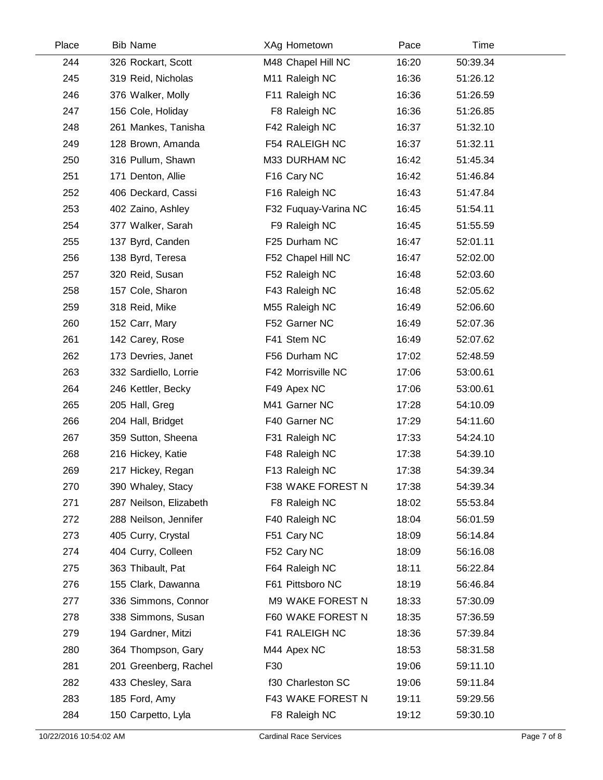| Place | <b>Bib Name</b>        | XAg Hometown         | Pace  | Time     |  |
|-------|------------------------|----------------------|-------|----------|--|
| 244   | 326 Rockart, Scott     | M48 Chapel Hill NC   | 16:20 | 50:39.34 |  |
| 245   | 319 Reid, Nicholas     | M11 Raleigh NC       | 16:36 | 51:26.12 |  |
| 246   | 376 Walker, Molly      | F11 Raleigh NC       | 16:36 | 51:26.59 |  |
| 247   | 156 Cole, Holiday      | F8 Raleigh NC        | 16:36 | 51:26.85 |  |
| 248   | 261 Mankes, Tanisha    | F42 Raleigh NC       | 16:37 | 51:32.10 |  |
| 249   | 128 Brown, Amanda      | F54 RALEIGH NC       | 16:37 | 51:32.11 |  |
| 250   | 316 Pullum, Shawn      | M33 DURHAM NC        | 16:42 | 51:45.34 |  |
| 251   | 171 Denton, Allie      | F16 Cary NC          | 16:42 | 51:46.84 |  |
| 252   | 406 Deckard, Cassi     | F16 Raleigh NC       | 16:43 | 51:47.84 |  |
| 253   | 402 Zaino, Ashley      | F32 Fuquay-Varina NC | 16:45 | 51:54.11 |  |
| 254   | 377 Walker, Sarah      | F9 Raleigh NC        | 16:45 | 51:55.59 |  |
| 255   | 137 Byrd, Canden       | F25 Durham NC        | 16:47 | 52:01.11 |  |
| 256   | 138 Byrd, Teresa       | F52 Chapel Hill NC   | 16:47 | 52:02.00 |  |
| 257   | 320 Reid, Susan        | F52 Raleigh NC       | 16:48 | 52:03.60 |  |
| 258   | 157 Cole, Sharon       | F43 Raleigh NC       | 16:48 | 52:05.62 |  |
| 259   | 318 Reid, Mike         | M55 Raleigh NC       | 16:49 | 52:06.60 |  |
| 260   | 152 Carr, Mary         | F52 Garner NC        | 16:49 | 52:07.36 |  |
| 261   | 142 Carey, Rose        | F41 Stem NC          | 16:49 | 52:07.62 |  |
| 262   | 173 Devries, Janet     | F56 Durham NC        | 17:02 | 52:48.59 |  |
| 263   | 332 Sardiello, Lorrie  | F42 Morrisville NC   | 17:06 | 53:00.61 |  |
| 264   | 246 Kettler, Becky     | F49 Apex NC          | 17:06 | 53:00.61 |  |
| 265   | 205 Hall, Greg         | M41 Garner NC        | 17:28 | 54:10.09 |  |
| 266   | 204 Hall, Bridget      | F40 Garner NC        | 17:29 | 54:11.60 |  |
| 267   | 359 Sutton, Sheena     | F31 Raleigh NC       | 17:33 | 54:24.10 |  |
| 268   | 216 Hickey, Katie      | F48 Raleigh NC       | 17:38 | 54:39.10 |  |
| 269   | 217 Hickey, Regan      | F13 Raleigh NC       | 17:38 | 54:39.34 |  |
| 270   | 390 Whaley, Stacy      | F38 WAKE FOREST N    | 17:38 | 54:39.34 |  |
| 271   | 287 Neilson, Elizabeth | F8 Raleigh NC        | 18:02 | 55:53.84 |  |
| 272   | 288 Neilson, Jennifer  | F40 Raleigh NC       | 18:04 | 56:01.59 |  |
| 273   | 405 Curry, Crystal     | F51 Cary NC          | 18:09 | 56:14.84 |  |
| 274   | 404 Curry, Colleen     | F52 Cary NC          | 18:09 | 56:16.08 |  |
| 275   | 363 Thibault, Pat      | F64 Raleigh NC       | 18:11 | 56:22.84 |  |
| 276   | 155 Clark, Dawanna     | F61 Pittsboro NC     | 18:19 | 56:46.84 |  |
| 277   | 336 Simmons, Connor    | M9 WAKE FOREST N     | 18:33 | 57:30.09 |  |
| 278   | 338 Simmons, Susan     | F60 WAKE FOREST N    | 18:35 | 57:36.59 |  |
| 279   | 194 Gardner, Mitzi     | F41 RALEIGH NC       | 18:36 | 57:39.84 |  |
| 280   | 364 Thompson, Gary     | M44 Apex NC          | 18:53 | 58:31.58 |  |
| 281   | 201 Greenberg, Rachel  | F30                  | 19:06 | 59:11.10 |  |
| 282   | 433 Chesley, Sara      | f30 Charleston SC    | 19:06 | 59:11.84 |  |
| 283   | 185 Ford, Amy          | F43 WAKE FOREST N    | 19:11 | 59:29.56 |  |
| 284   | 150 Carpetto, Lyla     | F8 Raleigh NC        | 19:12 | 59:30.10 |  |